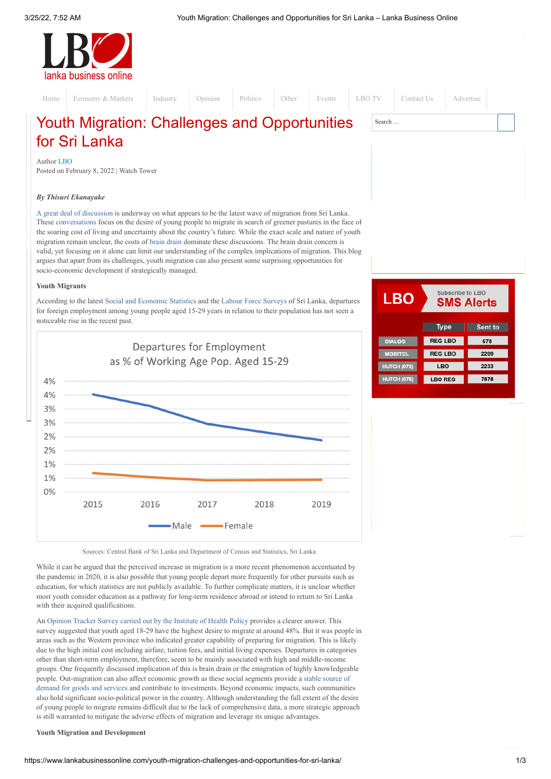

Youth Migration: Challenges and Opportunities Search … [Home](http://www.lankabusinessonline.com/) [Economy](https://www.lankabusinessonline.com/category/economy-markets/) & Markets [Industry](https://www.lankabusinessonline.com/category/industry/) [Opinion](https://www.lankabusinessonline.com/category/opinion/) [Politics](https://www.lankabusinessonline.com/category/politicsmain/) [Other](https://www.lankabusinessonline.com/category/other/) [Events](https://www.lankabusinessonline.com/category/lbo-events/) [LBO](https://www.lankabusinessonline.com/category/lbo-tv/) TV [Contact](https://www.lankabusinessonline.com/contact-us/) Us [Advertise](https://www.lankabusinessonline.com/advertise/)

# for Sri Lanka

Author [LBO](https://www.lankabusinessonline.com/author/editor/) Posted on [February](https://www.lankabusinessonline.com/youth-migration-challenges-and-opportunities-for-sri-lanka/) 8, 2022 | [Watch](https://www.lankabusinessonline.com/category/opinion/watch-tower/) Tower

# *By Thisuri Ekanayake*

A great deal of [discussion](https://island.lk/to-leave-or-to-stay-years-of-bad-economic-policy-are-killing-the-aspirations-of-sri-lankas-youth/) is underway on what appears to be the latest wave of migration from Sri Lanka. These [conversations](https://groundviews.org/2022/01/19/to-flee-or-not-to-flee-that-is-the-question/) focus on the desire of young people to migrate in search of greener pastures in the face of the soaring cost of living and uncertainty about the country's future. While the exact scale and nature of youth migration remain unclear, the costs of brain [drain](https://island.lk/the-brain-drain-disaster-where-are-we-heading/) dominate these discussions. The brain drain concern is valid, yet focusing on it alone can limit our understanding of the complex implications of migration. This blog argues that apart from its challenges, youth migration can also present some surprising opportunities for socio-economic development if strategically managed.

## **Youth Migrants**

According to the latest Social and [Economic](https://www.cbsl.gov.lk/en/publications/other-publications/statistical-publications/economic-and-social-statistics-of-sri-lanka) Statistics and the Labour Force [Surveys](http://www.statistics.gov.lk/LabourForce/StaticalInformation/AnnualReports) of Sri Lanka, departures for foreign employment among young people aged 15-29 years in relation to their population has not seen a noticeable rise in the recent past.



Subscribe to LBO LBO **SMS Alerts Type** Sent to **REG LBO** 678 DIAL OG **REG LBO** 2299 **LBO** 2233 7878 HUTCH (078 LBO REG

Sources: Central Bank of Sri Lanka and Department of Census and Statistics, Sri Lanka

While it can be argued that the perceived increase in migration is a more recent phenomenon accentuated by the pandemic in 2020, it is also possible that young people depart more frequently for other pursuits such as education, for which statistics are not publicly available. To further complicate matters, it is unclear whether most youth consider education as a pathway for long-term residence abroad or intend to return to Sri Lanka with their acquired qualifications.

An [Opinion](http://ihp.lk/publications/docs/SLOTSReport20210ENG.pdf) Tracker Survey carried out by the Institute of Health Policy provides a clearer answer. This survey suggested that youth aged 18-29 have the highest desire to migrate at around 48%. But it was people in areas such as the Western province who indicated greater capability of preparing for migration. This is likely due to the high initial cost including airfare, tuition fees, and initial living expenses. Departures in categories other than short-term employment, therefore, seem to be mainly associated with high and middle-income groups. One frequently discussed implication of this is brain drain or the emigration of highly knowledgeable people. [Out-migration](https://www.adb.org/sites/default/files/publication/28751/economics-wp245.pdf) can also affect economic growth as these social segments provide a stable source of demand for goods and services and contribute to investments. Beyond economic impacts, such communities also hold significant socio-political power in the country. Although understanding the full extent of the desire of young people to migrate remains difficult due to the lack of comprehensive data, a more strategic approach is still warranted to mitigate the adverse effects of migration and leverage its unique advantages.

## **Youth Migration and Development**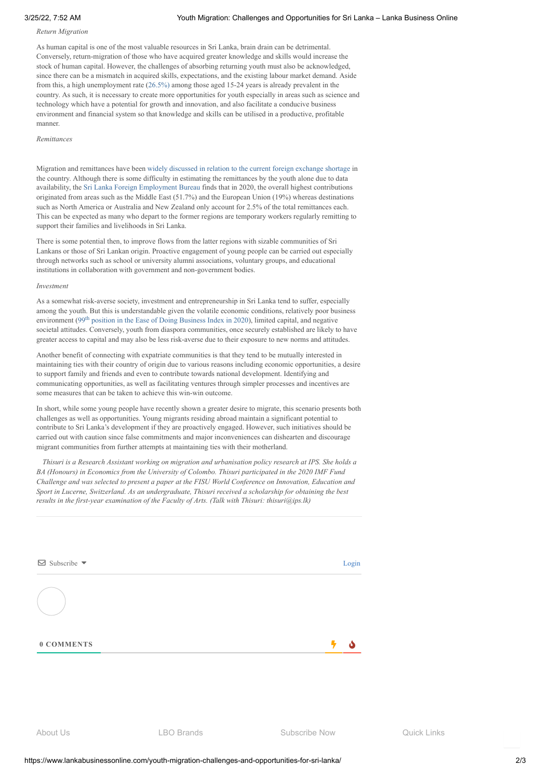# *Return Migration*

As human capital is one of the most valuable resources in Sri Lanka, brain drain can be detrimental. Conversely, return-migration of those who have acquired greater knowledge and skills would increase the stock of human capital. However, the challenges of absorbing returning youth must also be acknowledged, since there can be a mismatch in acquired skills, expectations, and the existing labour market demand. Aside from this, a high unemployment rate [\(26.5%\)](http://www.statistics.gov.lk/LabourForce/StaticalInformation/AnnualReports/2020) among those aged 15-24 years is already prevalent in the country. As such, it is necessary to create more opportunities for youth especially in areas such as science and technology which have a potential for growth and innovation, and also facilitate a conducive business environment and financial system so that knowledge and skills can be utilised in a productive, profitable manner.

### *Remittances*

Migration and remittances have been widely [discussed](https://www.ips.lk/talkingeconomics/2021/12/17/black-white-and-grey-markets-the-dynamics-of-foreign-exchange-and-remittances-in-sri-lanka/) in relation to the current foreign exchange shortage in the country. Although there is some difficulty in estimating the remittances by the youth alone due to data availability, the Sri Lanka Foreign [Employment](http://www.slbfe.lk/file.php?FID=569) Bureau finds that in 2020, the overall highest contributions originated from areas such as the Middle East (51.7%) and the European Union (19%) whereas destinations such as North America or Australia and New Zealand only account for 2.5% of the total remittances each. This can be expected as many who depart to the former regions are temporary workers regularly remitting to support their families and livelihoods in Sri Lanka.

There is some potential then, to improve flows from the latter regions with sizable communities of Sri Lankans or those of Sri Lankan origin. Proactive engagement of young people can be carried out especially through networks such as school or university alumni associations, voluntary groups, and educational institutions in collaboration with government and non-government bodies.

#### *Investment*

As a somewhat risk-averse society, investment and entrepreneurship in Sri Lanka tend to suffer, especially among the youth. But this is understandable given the volatile economic conditions, relatively poor business environment (99<sup>th</sup> position in the Ease of Doing [Business](https://www.doingbusiness.org/content/dam/doingBusiness/country/s/sri-lanka/LKA.pdf) Index in 2020), limited capital, and negative societal attitudes. Conversely, youth from diaspora communities, once securely established are likely to have greater access to capital and may also be less risk-averse due to their exposure to new norms and attitudes.

Another benefit of connecting with expatriate communities is that they tend to be mutually interested in maintaining ties with their country of origin due to various reasons including economic opportunities, a desire to support family and friends and even to contribute towards national development. Identifying and communicating opportunities, as well as facilitating ventures through simpler processes and incentives are some measures that can be taken to achieve this win-win outcome.

In short, while some young people have recently shown a greater desire to migrate, this scenario presents both challenges as well as opportunities. Young migrants residing abroad maintain a significant potential to contribute to Sri Lanka's development if they are proactively engaged. However, such initiatives should be carried out with caution since false commitments and major inconveniences can dishearten and discourage migrant communities from further attempts at maintaining ties with their motherland.

*Thisuri is a Research Assistant working on migration and urbanisation policy research at IPS. She holds a BA (Honours) in Economics from the University of Colombo. Thisuri participated in the 2020 IMF Fund Challenge and was selected to present a paper at the FISU World Conference on Innovation, Education and Sport in Lucerne, Switzerland. As an undergraduate, Thisuri received a scholarship for obtaining the best results in the first-year examination of the Faculty of Arts. (Talk with Thisuri: thisuri@ips.lk)*

| 0 COMMENTS                               |       |
|------------------------------------------|-------|
|                                          |       |
| $\boxdot$ Subscribe $\blacktriangledown$ | Login |

About Us LBO Brands Subscribe Now Quick Links